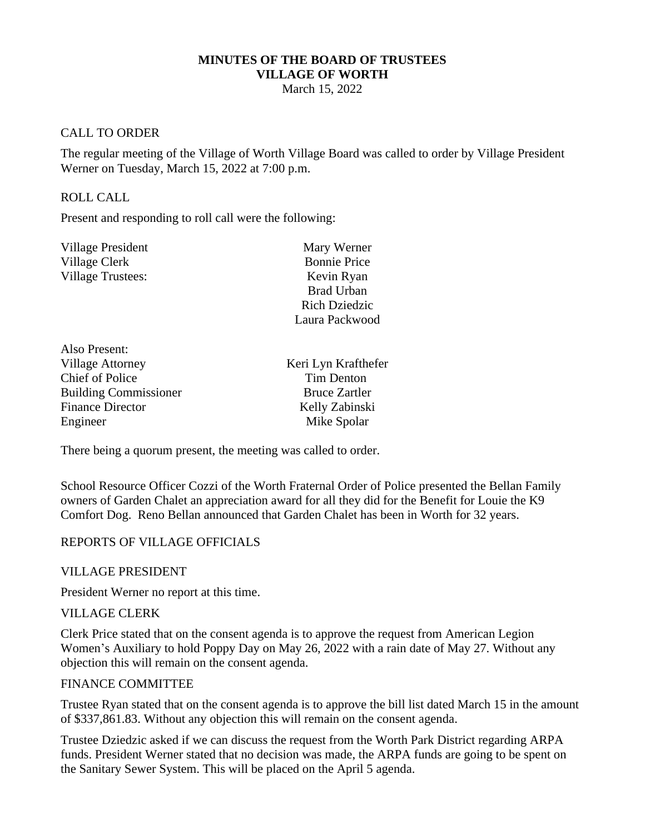#### **MINUTES OF THE BOARD OF TRUSTEES VILLAGE OF WORTH**

March 15, 2022

### CALL TO ORDER

The regular meeting of the Village of Worth Village Board was called to order by Village President Werner on Tuesday, March 15, 2022 at 7:00 p.m.

#### ROLL CALL

Also Present:

Present and responding to roll call were the following:

| Village President        | Mary Werner          |
|--------------------------|----------------------|
| Village Clerk            | <b>Bonnie Price</b>  |
| <b>Village Trustees:</b> | Kevin Ryan           |
|                          | <b>Brad Urban</b>    |
|                          | <b>Rich Dziedzic</b> |
|                          | Laura Packwood       |
|                          |                      |

| Keri Lyn Krafthefer  |
|----------------------|
| Tim Denton           |
| <b>Bruce Zartler</b> |
| Kelly Zabinski       |
| Mike Spolar          |
|                      |

There being a quorum present, the meeting was called to order.

School Resource Officer Cozzi of the Worth Fraternal Order of Police presented the Bellan Family owners of Garden Chalet an appreciation award for all they did for the Benefit for Louie the K9 Comfort Dog. Reno Bellan announced that Garden Chalet has been in Worth for 32 years.

#### REPORTS OF VILLAGE OFFICIALS

VILLAGE PRESIDENT

President Werner no report at this time.

#### VILLAGE CLERK

Clerk Price stated that on the consent agenda is to approve the request from American Legion Women's Auxiliary to hold Poppy Day on May 26, 2022 with a rain date of May 27. Without any objection this will remain on the consent agenda.

#### FINANCE COMMITTEE

Trustee Ryan stated that on the consent agenda is to approve the bill list dated March 15 in the amount of \$337,861.83. Without any objection this will remain on the consent agenda.

Trustee Dziedzic asked if we can discuss the request from the Worth Park District regarding ARPA funds. President Werner stated that no decision was made, the ARPA funds are going to be spent on the Sanitary Sewer System. This will be placed on the April 5 agenda.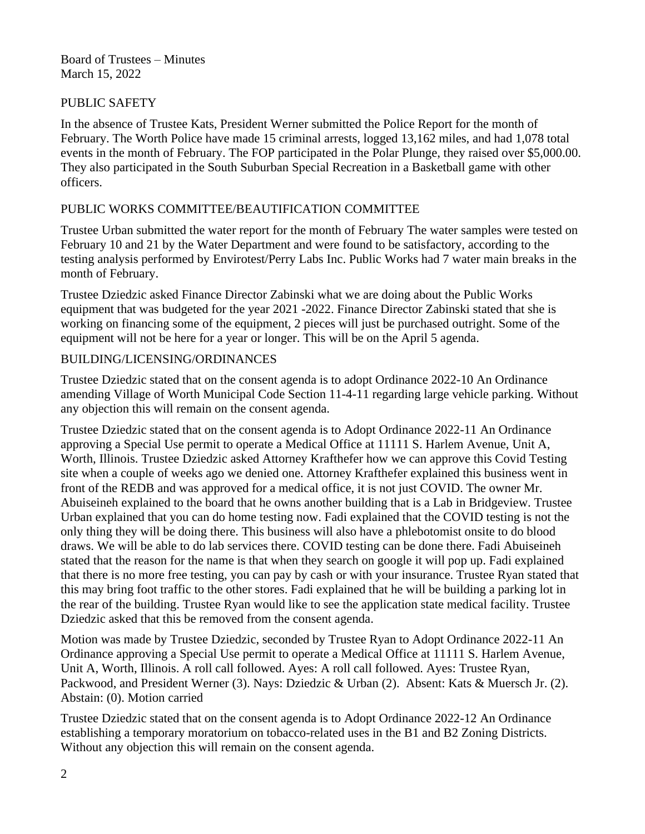## PUBLIC SAFETY

In the absence of Trustee Kats, President Werner submitted the Police Report for the month of February. The Worth Police have made 15 criminal arrests, logged 13,162 miles, and had 1,078 total events in the month of February. The FOP participated in the Polar Plunge, they raised over \$5,000.00. They also participated in the South Suburban Special Recreation in a Basketball game with other officers.

## PUBLIC WORKS COMMITTEE/BEAUTIFICATION COMMITTEE

Trustee Urban submitted the water report for the month of February The water samples were tested on February 10 and 21 by the Water Department and were found to be satisfactory, according to the testing analysis performed by Envirotest/Perry Labs Inc. Public Works had 7 water main breaks in the month of February.

Trustee Dziedzic asked Finance Director Zabinski what we are doing about the Public Works equipment that was budgeted for the year 2021 -2022. Finance Director Zabinski stated that she is working on financing some of the equipment, 2 pieces will just be purchased outright. Some of the equipment will not be here for a year or longer. This will be on the April 5 agenda.

## BUILDING/LICENSING/ORDINANCES

Trustee Dziedzic stated that on the consent agenda is to adopt Ordinance 2022-10 An Ordinance amending Village of Worth Municipal Code Section 11-4-11 regarding large vehicle parking. Without any objection this will remain on the consent agenda.

Trustee Dziedzic stated that on the consent agenda is to Adopt Ordinance 2022-11 An Ordinance approving a Special Use permit to operate a Medical Office at 11111 S. Harlem Avenue, Unit A, Worth, Illinois. Trustee Dziedzic asked Attorney Krafthefer how we can approve this Covid Testing site when a couple of weeks ago we denied one. Attorney Krafthefer explained this business went in front of the REDB and was approved for a medical office, it is not just COVID. The owner Mr. Abuiseineh explained to the board that he owns another building that is a Lab in Bridgeview. Trustee Urban explained that you can do home testing now. Fadi explained that the COVID testing is not the only thing they will be doing there. This business will also have a phlebotomist onsite to do blood draws. We will be able to do lab services there. COVID testing can be done there. Fadi Abuiseineh stated that the reason for the name is that when they search on google it will pop up. Fadi explained that there is no more free testing, you can pay by cash or with your insurance. Trustee Ryan stated that this may bring foot traffic to the other stores. Fadi explained that he will be building a parking lot in the rear of the building. Trustee Ryan would like to see the application state medical facility. Trustee Dziedzic asked that this be removed from the consent agenda.

Motion was made by Trustee Dziedzic, seconded by Trustee Ryan to Adopt Ordinance 2022-11 An Ordinance approving a Special Use permit to operate a Medical Office at 11111 S. Harlem Avenue, Unit A, Worth, Illinois. A roll call followed. Ayes: A roll call followed. Ayes: Trustee Ryan, Packwood, and President Werner (3). Nays: Dziedzic & Urban (2). Absent: Kats & Muersch Jr. (2). Abstain: (0). Motion carried

Trustee Dziedzic stated that on the consent agenda is to Adopt Ordinance 2022-12 An Ordinance establishing a temporary moratorium on tobacco-related uses in the B1 and B2 Zoning Districts. Without any objection this will remain on the consent agenda.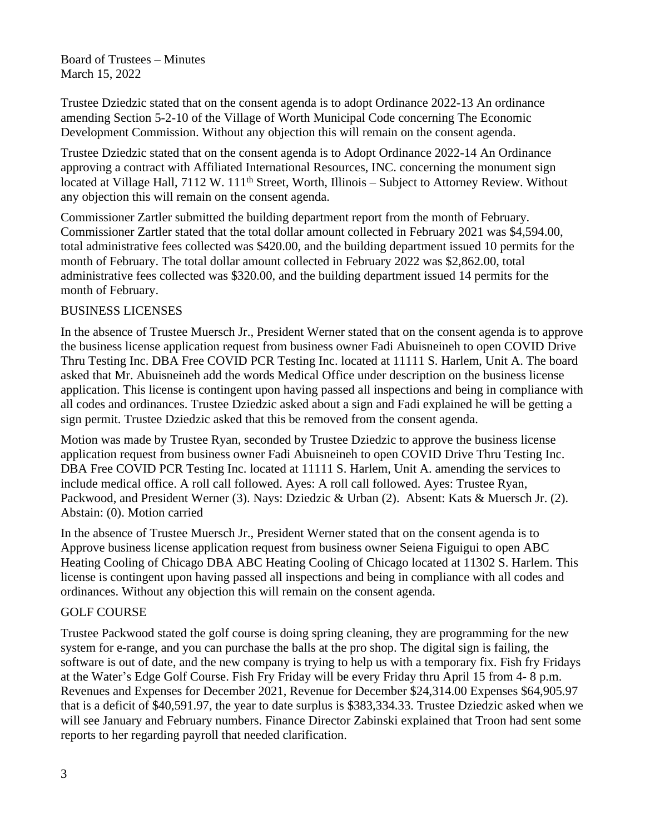Trustee Dziedzic stated that on the consent agenda is to adopt Ordinance 2022-13 An ordinance amending Section 5-2-10 of the Village of Worth Municipal Code concerning The Economic Development Commission. Without any objection this will remain on the consent agenda.

Trustee Dziedzic stated that on the consent agenda is to Adopt Ordinance 2022-14 An Ordinance approving a contract with Affiliated International Resources, INC. concerning the monument sign located at Village Hall, 7112 W. 111<sup>th</sup> Street, Worth, Illinois – Subject to Attorney Review. Without any objection this will remain on the consent agenda.

Commissioner Zartler submitted the building department report from the month of February. Commissioner Zartler stated that the total dollar amount collected in February 2021 was \$4,594.00, total administrative fees collected was \$420.00, and the building department issued 10 permits for the month of February. The total dollar amount collected in February 2022 was \$2,862.00, total administrative fees collected was \$320.00, and the building department issued 14 permits for the month of February.

## BUSINESS LICENSES

In the absence of Trustee Muersch Jr., President Werner stated that on the consent agenda is to approve the business license application request from business owner Fadi Abuisneineh to open COVID Drive Thru Testing Inc. DBA Free COVID PCR Testing Inc. located at 11111 S. Harlem, Unit A. The board asked that Mr. Abuisneineh add the words Medical Office under description on the business license application. This license is contingent upon having passed all inspections and being in compliance with all codes and ordinances. Trustee Dziedzic asked about a sign and Fadi explained he will be getting a sign permit. Trustee Dziedzic asked that this be removed from the consent agenda.

Motion was made by Trustee Ryan, seconded by Trustee Dziedzic to approve the business license application request from business owner Fadi Abuisneineh to open COVID Drive Thru Testing Inc. DBA Free COVID PCR Testing Inc. located at 11111 S. Harlem, Unit A. amending the services to include medical office. A roll call followed. Ayes: A roll call followed. Ayes: Trustee Ryan, Packwood, and President Werner (3). Nays: Dziedzic & Urban (2). Absent: Kats & Muersch Jr. (2). Abstain: (0). Motion carried

In the absence of Trustee Muersch Jr., President Werner stated that on the consent agenda is to Approve business license application request from business owner Seiena Figuigui to open ABC Heating Cooling of Chicago DBA ABC Heating Cooling of Chicago located at 11302 S. Harlem. This license is contingent upon having passed all inspections and being in compliance with all codes and ordinances. Without any objection this will remain on the consent agenda.

## GOLF COURSE

Trustee Packwood stated the golf course is doing spring cleaning, they are programming for the new system for e-range, and you can purchase the balls at the pro shop. The digital sign is failing, the software is out of date, and the new company is trying to help us with a temporary fix. Fish fry Fridays at the Water's Edge Golf Course. Fish Fry Friday will be every Friday thru April 15 from 4- 8 p.m. Revenues and Expenses for December 2021, Revenue for December \$24,314.00 Expenses \$64,905.97 that is a deficit of \$40,591.97, the year to date surplus is \$383,334.33. Trustee Dziedzic asked when we will see January and February numbers. Finance Director Zabinski explained that Troon had sent some reports to her regarding payroll that needed clarification.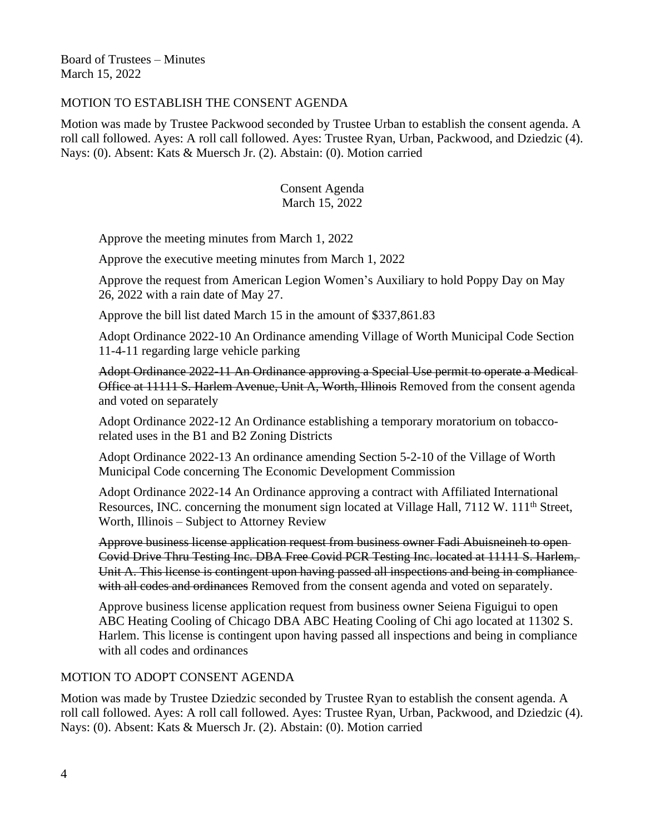### MOTION TO ESTABLISH THE CONSENT AGENDA

Motion was made by Trustee Packwood seconded by Trustee Urban to establish the consent agenda. A roll call followed. Ayes: A roll call followed. Ayes: Trustee Ryan, Urban, Packwood, and Dziedzic (4). Nays: (0). Absent: Kats & Muersch Jr. (2). Abstain: (0). Motion carried

### Consent Agenda March 15, 2022

Approve the meeting minutes from March 1, 2022

Approve the executive meeting minutes from March 1, 2022

Approve the request from American Legion Women's Auxiliary to hold Poppy Day on May 26, 2022 with a rain date of May 27.

Approve the bill list dated March 15 in the amount of \$337,861.83

Adopt Ordinance 2022-10 An Ordinance amending Village of Worth Municipal Code Section 11-4-11 regarding large vehicle parking

Adopt Ordinance 2022-11 An Ordinance approving a Special Use permit to operate a Medical Office at 11111 S. Harlem Avenue, Unit A, Worth, Illinois Removed from the consent agenda and voted on separately

Adopt Ordinance 2022-12 An Ordinance establishing a temporary moratorium on tobaccorelated uses in the B1 and B2 Zoning Districts

Adopt Ordinance 2022-13 An ordinance amending Section 5-2-10 of the Village of Worth Municipal Code concerning The Economic Development Commission

Adopt Ordinance 2022-14 An Ordinance approving a contract with Affiliated International Resources, INC. concerning the monument sign located at Village Hall, 7112 W. 111<sup>th</sup> Street, Worth, Illinois – Subject to Attorney Review

Approve business license application request from business owner Fadi Abuisneineh to open Covid Drive Thru Testing Inc. DBA Free Covid PCR Testing Inc. located at 11111 S. Harlem, Unit A. This license is contingent upon having passed all inspections and being in compliance with all codes and ordinances Removed from the consent agenda and voted on separately.

Approve business license application request from business owner Seiena Figuigui to open ABC Heating Cooling of Chicago DBA ABC Heating Cooling of Chi ago located at 11302 S. Harlem. This license is contingent upon having passed all inspections and being in compliance with all codes and ordinances

### MOTION TO ADOPT CONSENT AGENDA

Motion was made by Trustee Dziedzic seconded by Trustee Ryan to establish the consent agenda. A roll call followed. Ayes: A roll call followed. Ayes: Trustee Ryan, Urban, Packwood, and Dziedzic (4). Nays: (0). Absent: Kats & Muersch Jr. (2). Abstain: (0). Motion carried